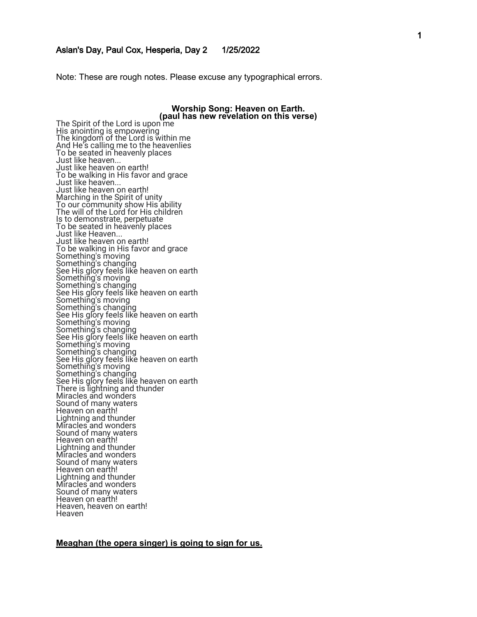Aslan's Day, Paul Cox, Hesperia, Day 2 1/25/2022 Note: These are rough notes. Please excuse any typographical errors.

#### **Worship Song: Heaven on Earth.<br>(paul has new revelation on this verse)** (paul has new revelation on this verse His anointing is empowering The kingdom of the Lord is within me And He's calling me to the heavenlies To be seated in heavenly places Just like heaven... Just like heaven on earth! To be walking in His favor and grace Just like heaven... Just like heaven on earth! Marching in the Spirit of unity To our community show His ability The will of the Lord for His children Is to demonstrate, perpetuate To be seated in heavenly places Just like Heaven... Just like heaven on earth! To be walking in His favor and grace Something's moving Something's changing See His glory feels like heaven on earth Something's moving Something's changing See His glory feels like heaven on earth Something's moving Something's changing See His glory feels like heaven on earth Something's moving Something's changing See His glory feels like heaven on earth Something's moving Something's changing See His glory feels like heaven on earth Something's moving Something's changing See His glory feels like heaven on earth There is lightning and thunder Miracles and wonders Sound of many waters Heaven on earth! Lightning and thunder Miracles and wonders Sound of many waters Heaven on earth! Lightning and thunder Miracles and wonders Sound of many waters Heaven on earth! Lightning and thunder Miracles and wonders Sound of many waters Heaven on earth! Heaven, heaven on earth! **Heaven**

#### **Meaghan (the opera singer) is going to sign for us.**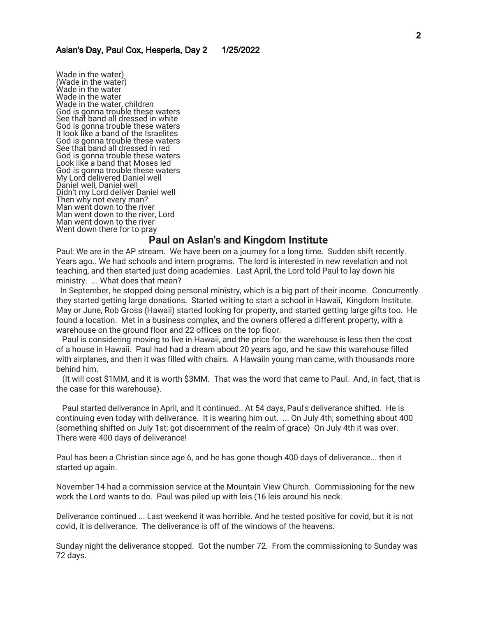Wade in the water) (Wade in the water) Wade in the water Wade in the water Wade in the water, children God is gonna trouble these waters See that band all dressed in white God is gonna trouble these waters It look like a band of the Israelites God is gonna trouble these waters See that band all dressed in red God is gonna trouble these waters Look like a band that Moses led God is gonna trouble these waters My Lord delivered Daniel well Daniel well, Daniel well Didn't my Lord deliver Daniel well Then why not every man? Man went down to the river Man went down to the river, Lord Man went down to the river Went down there for to pray

# **Paul on Aslan's and Kingdom Institute**

Paul: We are in the AP stream. We have been on a journey for a long time. Sudden shift recently. Years ago.. We had schools and intern programs. The lord is interested in new revelation and not teaching, and then started just doing academies. Last April, the Lord told Paul to lay down his ministry. ... What does that mean?

 In September, he stopped doing personal ministry, which is a big part of their income. Concurrently they started getting large donations. Started writing to start a school in Hawaii, Kingdom Institute. May or June, Rob Gross (Hawaii) started looking for property, and started getting large gifts too. He found a location. Met in a business complex, and the owners offered a different property, with a warehouse on the ground floor and 22 offices on the top floor.

 Paul is considering moving to live in Hawaii, and the price for the warehouse is less then the cost of a house in Hawaii. Paul had had a dream about 20 years ago, and he saw this warehouse filled with airplanes, and then it was filled with chairs. A Hawaiin young man came, with thousands more behind him.

 (It will cost \$1MM, and it is worth \$3MM. That was the word that came to Paul. And, in fact, that is the case for this warehouse).

 Paul started deliverance in April, and it continued.. At 54 days, Paul's deliverance shifted. He is continuing even today with deliverance. It is wearing him out. ... On July 4th; something about 400 (something shifted on July 1st; got discernment of the realm of grace) On July 4th it was over. There were 400 days of deliverance!

Paul has been a Christian since age 6, and he has gone though 400 days of deliverance... then it started up again.

November 14 had a commission service at the Mountain View Church. Commissioning for the new work the Lord wants to do. Paul was piled up with leis (16 leis around his neck.

Deliverance continued ... Last weekend it was horrible. And he tested positive for covid, but it is not covid, it is deliverance. The deliverance is off of the windows of the heavens.

Sunday night the deliverance stopped. Got the number 72. From the commissioning to Sunday was 72 days.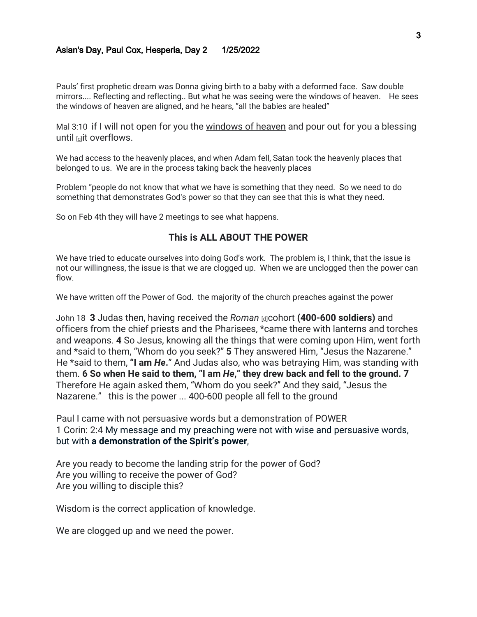Pauls' first prophetic dream was Donna giving birth to a baby with a deformed face. Saw double mirrors.... Reflecting and reflecting.. But what he was seeing were the windows of heaven. He sees the windows of heaven are aligned, and he hears, "all the babies are healed"

Mal 3:10 if I will not open for you the windows of heaven and pour out for you a blessing until **Iquit overflows**.

We had access to the heavenly places, and when Adam fell, Satan took the heavenly places that belonged to us. We are in the process taking back the heavenly places

Problem "people do not know that what we have is something that they need. So we need to do something that demonstrates God's power so that they can see that this is what they need.

So on Feb 4th they will have 2 meetings to see what happens.

## **This is ALL ABOUT THE POWER**

We have tried to educate ourselves into doing God's work. The problem is, I think, that the issue is not our willingness, the issue is that we are clogged up. When we are unclogged then the power can flow.

We have written off the Power of God. the majority of the church preaches against the power

John 18 **3** Judas then, having received the *Roman* [\[d\]](https://www.biblegateway.com/passage/?search=John+18&version=NASB1995#fen-NASB1995-26789d)cohort **(400-600 soldiers)** and officers from the chief priests and the Pharisees, \*came there with lanterns and torches and weapons. **4** So Jesus, knowing all the things that were coming upon Him, went forth and \*said to them, "Whom do you seek?" **5** They answered Him, "Jesus the Nazarene." He \*said to them, **"I am** *He***.**" And Judas also, who was betraying Him, was standing with them. **6 So when He said to them, "I am** *He***," they drew back and fell to the ground. 7**  Therefore He again asked them, "Whom do you seek?" And they said, "Jesus the Nazarene." this is the power ... 400-600 people all fell to the ground

Paul I came with not persuasive words but a demonstration of POWER 1 Corin: 2:4 My message and my preaching were not with wise and persuasive words, but with **a demonstration of the Spirit's power**,

Are you ready to become the landing strip for the power of God? Are you willing to receive the power of God? Are you willing to disciple this?

Wisdom is the correct application of knowledge.

We are clogged up and we need the power.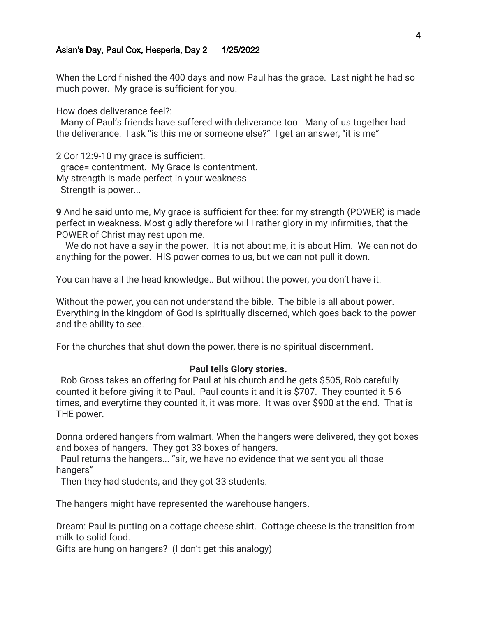When the Lord finished the 400 days and now Paul has the grace. Last night he had so much power. My grace is sufficient for you.

How does deliverance feel?:

 Many of Paul's friends have suffered with deliverance too. Many of us together had the deliverance. I ask "is this me or someone else?" I get an answer, "it is me"

2 Cor 12:9-10 my grace is sufficient. grace= contentment. My Grace is contentment. My strength is made perfect in your weakness . Strength is power...

**9** And he said unto me, My grace is sufficient for thee: for my strength (POWER) is made perfect in weakness. Most gladly therefore will I rather glory in my infirmities, that the POWER of Christ may rest upon me.

 We do not have a say in the power. It is not about me, it is about Him. We can not do anything for the power. HIS power comes to us, but we can not pull it down.

You can have all the head knowledge.. But without the power, you don't have it.

Without the power, you can not understand the bible. The bible is all about power. Everything in the kingdom of God is spiritually discerned, which goes back to the power and the ability to see.

For the churches that shut down the power, there is no spiritual discernment.

#### **Paul tells Glory stories.**

 Rob Gross takes an offering for Paul at his church and he gets \$505, Rob carefully counted it before giving it to Paul. Paul counts it and it is \$707. They counted it 5-6 times, and everytime they counted it, it was more. It was over \$900 at the end. That is THE power.

Donna ordered hangers from walmart. When the hangers were delivered, they got boxes and boxes of hangers. They got 33 boxes of hangers.

 Paul returns the hangers... "sir, we have no evidence that we sent you all those hangers"

Then they had students, and they got 33 students.

The hangers might have represented the warehouse hangers.

Dream: Paul is putting on a cottage cheese shirt. Cottage cheese is the transition from milk to solid food.

Gifts are hung on hangers? (I don't get this analogy)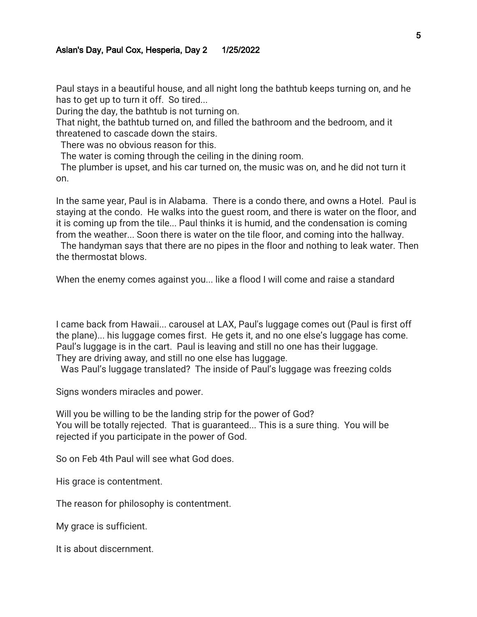Paul stays in a beautiful house, and all night long the bathtub keeps turning on, and he has to get up to turn it off. So tired...

During the day, the bathtub is not turning on.

That night, the bathtub turned on, and filled the bathroom and the bedroom, and it threatened to cascade down the stairs.

There was no obvious reason for this.

The water is coming through the ceiling in the dining room.

 The plumber is upset, and his car turned on, the music was on, and he did not turn it on.

In the same year, Paul is in Alabama. There is a condo there, and owns a Hotel. Paul is staying at the condo. He walks into the guest room, and there is water on the floor, and it is coming up from the tile... Paul thinks it is humid, and the condensation is coming from the weather... Soon there is water on the tile floor, and coming into the hallway.

 The handyman says that there are no pipes in the floor and nothing to leak water. Then the thermostat blows.

When the enemy comes against you... like a flood I will come and raise a standard

I came back from Hawaii... carousel at LAX, Paul's luggage comes out (Paul is first off the plane)... his luggage comes first. He gets it, and no one else's luggage has come. Paul's luggage is in the cart. Paul is leaving and still no one has their luggage. They are driving away, and still no one else has luggage.

Was Paul's luggage translated? The inside of Paul's luggage was freezing colds

Signs wonders miracles and power.

Will you be willing to be the landing strip for the power of God? You will be totally rejected. That is guaranteed... This is a sure thing. You will be rejected if you participate in the power of God.

So on Feb 4th Paul will see what God does.

His grace is contentment.

The reason for philosophy is contentment.

My grace is sufficient.

It is about discernment.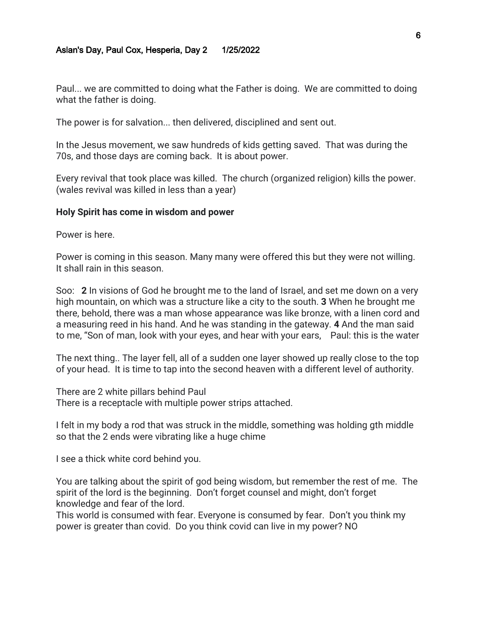Paul... we are committed to doing what the Father is doing. We are committed to doing what the father is doing.

The power is for salvation... then delivered, disciplined and sent out.

In the Jesus movement, we saw hundreds of kids getting saved. That was during the 70s, and those days are coming back. It is about power.

Every revival that took place was killed. The church (organized religion) kills the power. (wales revival was killed in less than a year)

#### **Holy Spirit has come in wisdom and power**

Power is here.

Power is coming in this season. Many many were offered this but they were not willing. It shall rain in this season.

Soo: **2** In visions of God he brought me to the land of Israel, and set me down on a very high mountain, on which was a structure like a city to the south. **3** When he brought me there, behold, there was a man whose appearance was like bronze, with a linen cord and a measuring reed in his hand. And he was standing in the gateway. **4** And the man said to me, "Son of man, look with your eyes, and hear with your ears, Paul: this is the water

The next thing.. The layer fell, all of a sudden one layer showed up really close to the top of your head. It is time to tap into the second heaven with a different level of authority.

There are 2 white pillars behind Paul There is a receptacle with multiple power strips attached.

I felt in my body a rod that was struck in the middle, something was holding gth middle so that the 2 ends were vibrating like a huge chime

I see a thick white cord behind you.

You are talking about the spirit of god being wisdom, but remember the rest of me. The spirit of the lord is the beginning. Don't forget counsel and might, don't forget knowledge and fear of the lord.

This world is consumed with fear. Everyone is consumed by fear. Don't you think my power is greater than covid. Do you think covid can live in my power? NO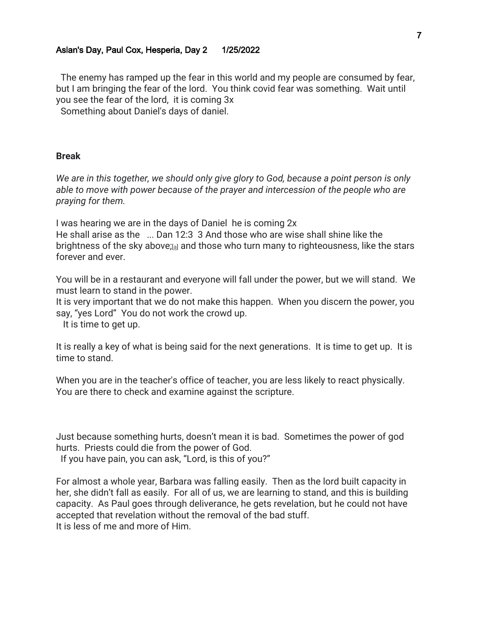The enemy has ramped up the fear in this world and my people are consumed by fear, but I am bringing the fear of the lord. You think covid fear was something. Wait until you see the fear of the lord, it is coming 3x

Something about Daniel's days of daniel.

## **Break**

*We are in this together, we should only give glory to God, because a point person is only able to move with power because of the prayer and intercession of the people who are praying for them.* 

I was hearing we are in the days of Daniel he is coming 2x

He shall arise as the ... Dan 12:3 3 And those who are wise shall shine like the brightness of the sky above;[\[a\]](https://www.biblegateway.com/passage/?search=Dan+12&version=ESV#fen-ESV-22085a) and those who turn many to righteousness, like the stars forever and ever.

You will be in a restaurant and everyone will fall under the power, but we will stand. We must learn to stand in the power.

It is very important that we do not make this happen. When you discern the power, you say, "yes Lord" You do not work the crowd up.

It is time to get up.

It is really a key of what is being said for the next generations. It is time to get up. It is time to stand.

When you are in the teacher's office of teacher, you are less likely to react physically. You are there to check and examine against the scripture.

Just because something hurts, doesn't mean it is bad. Sometimes the power of god hurts. Priests could die from the power of God.

If you have pain, you can ask, "Lord, is this of you?"

For almost a whole year, Barbara was falling easily. Then as the lord built capacity in her, she didn't fall as easily. For all of us, we are learning to stand, and this is building capacity. As Paul goes through deliverance, he gets revelation, but he could not have accepted that revelation without the removal of the bad stuff. It is less of me and more of Him.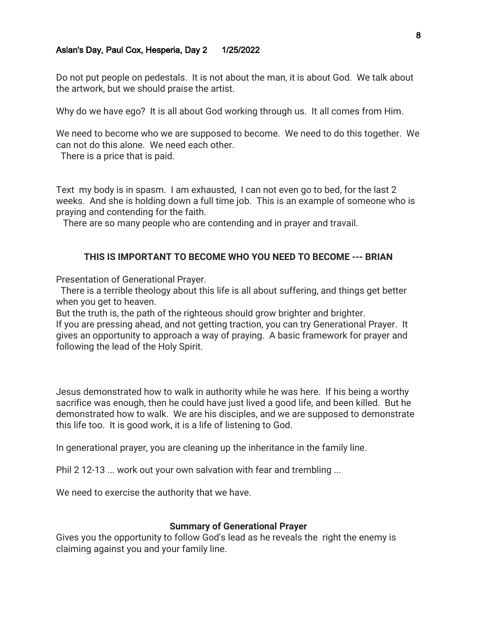Do not put people on pedestals. It is not about the man, it is about God. We talk about the artwork, but we should praise the artist.

Why do we have ego? It is all about God working through us. It all comes from Him.

We need to become who we are supposed to become. We need to do this together. We can not do this alone. We need each other.

There is a price that is paid.

Text my body is in spasm. I am exhausted, I can not even go to bed, for the last 2 weeks. And she is holding down a full time job. This is an example of someone who is praying and contending for the faith.

There are so many people who are contending and in prayer and travail.

## **THIS IS IMPORTANT TO BECOME WHO YOU NEED TO BECOME --- BRIAN**

Presentation of Generational Prayer.

 There is a terrible theology about this life is all about suffering, and things get better when you get to heaven.

But the truth is, the path of the righteous should grow brighter and brighter.

If you are pressing ahead, and not getting traction, you can try Generational Prayer. It gives an opportunity to approach a way of praying. A basic framework for prayer and following the lead of the Holy Spirit.

Jesus demonstrated how to walk in authority while he was here. If his being a worthy sacrifice was enough, then he could have just lived a good life, and been killed. But he demonstrated how to walk. We are his disciples, and we are supposed to demonstrate this life too. It is good work, it is a life of listening to God.

In generational prayer, you are cleaning up the inheritance in the family line.

Phil 2 12-13 ... work out your own salvation with fear and trembling ...

We need to exercise the authority that we have.

#### **Summary of Generational Prayer**

Gives you the opportunity to follow God's lead as he reveals the right the enemy is claiming against you and your family line.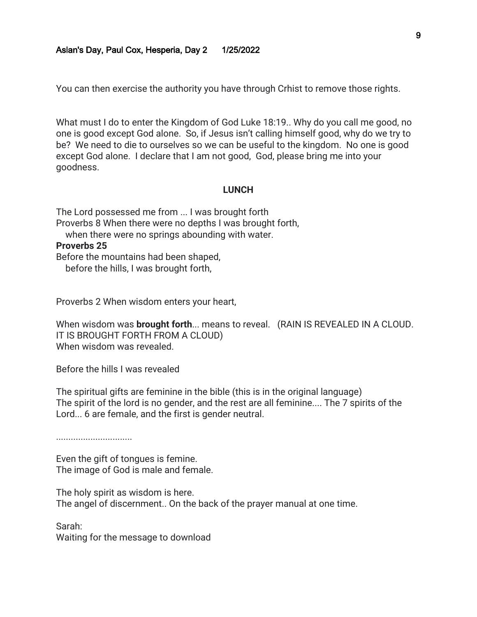You can then exercise the authority you have through Crhist to remove those rights.

What must I do to enter the Kingdom of God Luke 18:19.. Why do you call me good, no one is good except God alone. So, if Jesus isn't calling himself good, why do we try to be? We need to die to ourselves so we can be useful to the kingdom. No one is good except God alone. I declare that I am not good, God, please bring me into your goodness.

#### **LUNCH**

The Lord possessed me from ... I was brought forth Proverbs 8 When there were no depths I was brought forth, when there were no springs abounding with water. **Proverbs 25**  Before the mountains had been shaped, before the hills, I was brought forth,

Proverbs 2 When wisdom enters your heart,

When wisdom was **brought forth**... means to reveal. (RAIN IS REVEALED IN A CLOUD. IT IS BROUGHT FORTH FROM A CLOUD) When wisdom was revealed.

Before the hills I was revealed

The spiritual gifts are feminine in the bible (this is in the original language) The spirit of the lord is no gender, and the rest are all feminine.... The 7 spirits of the Lord... 6 are female, and the first is gender neutral.

...............................

Even the gift of tongues is femine. The image of God is male and female.

The holy spirit as wisdom is here. The angel of discernment.. On the back of the prayer manual at one time.

Sarah:

Waiting for the message to download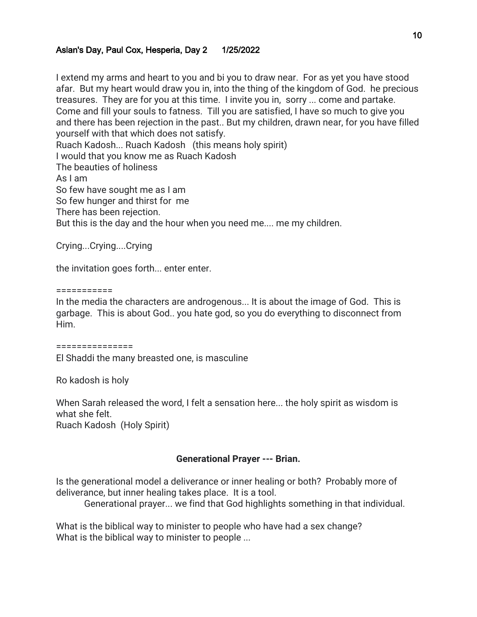I extend my arms and heart to you and bi you to draw near. For as yet you have stood afar. But my heart would draw you in, into the thing of the kingdom of God. he precious treasures. They are for you at this time. I invite you in, sorry ... come and partake. Come and fill your souls to fatness. Till you are satisfied, I have so much to give you and there has been rejection in the past.. But my children, drawn near, for you have filled yourself with that which does not satisfy. Ruach Kadosh... Ruach Kadosh (this means holy spirit) I would that you know me as Ruach Kadosh The beauties of holiness As I am So few have sought me as I am So few hunger and thirst for me There has been rejection. But this is the day and the hour when you need me.... me my children.

Crying...Crying....Crying

the invitation goes forth... enter enter.

===========

In the media the characters are androgenous... It is about the image of God. This is garbage. This is about God.. you hate god, so you do everything to disconnect from Him.

===============

El Shaddi the many breasted one, is masculine

Ro kadosh is holy

When Sarah released the word, I felt a sensation here... the holy spirit as wisdom is what she felt.

Ruach Kadosh (Holy Spirit)

# **Generational Prayer --- Brian.**

Is the generational model a deliverance or inner healing or both? Probably more of deliverance, but inner healing takes place. It is a tool.

Generational prayer... we find that God highlights something in that individual.

What is the biblical way to minister to people who have had a sex change? What is the biblical way to minister to people ...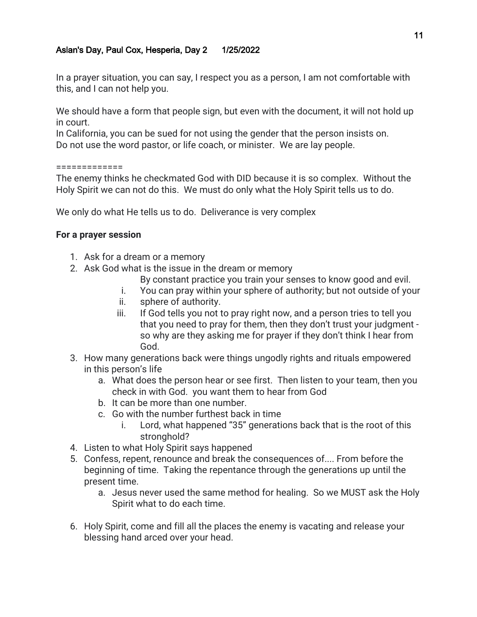In a prayer situation, you can say, I respect you as a person, I am not comfortable with this, and I can not help you.

We should have a form that people sign, but even with the document, it will not hold up in court.

In California, you can be sued for not using the gender that the person insists on. Do not use the word pastor, or life coach, or minister. We are lay people.

#### =============

The enemy thinks he checkmated God with DID because it is so complex. Without the Holy Spirit we can not do this. We must do only what the Holy Spirit tells us to do.

We only do what He tells us to do. Deliverance is very complex

## **For a prayer session**

- 1. Ask for a dream or a memory
- 2. Ask God what is the issue in the dream or memory
	- By constant practice you train your senses to know good and evil.
	- i. You can pray within your sphere of authority; but not outside of your
	- ii. sphere of authority.
	- iii. If God tells you not to pray right now, and a person tries to tell you that you need to pray for them, then they don't trust your judgment so why are they asking me for prayer if they don't think I hear from God.
- 3. How many generations back were things ungodly rights and rituals empowered in this person's life
	- a. What does the person hear or see first. Then listen to your team, then you check in with God. you want them to hear from God
	- b. It can be more than one number.
	- c. Go with the number furthest back in time
		- i. Lord, what happened "35" generations back that is the root of this stronghold?
- 4. Listen to what Holy Spirit says happened
- 5. Confess, repent, renounce and break the consequences of.... From before the beginning of time. Taking the repentance through the generations up until the present time.
	- a. Jesus never used the same method for healing. So we MUST ask the Holy Spirit what to do each time.
- 6. Holy Spirit, come and fill all the places the enemy is vacating and release your blessing hand arced over your head.